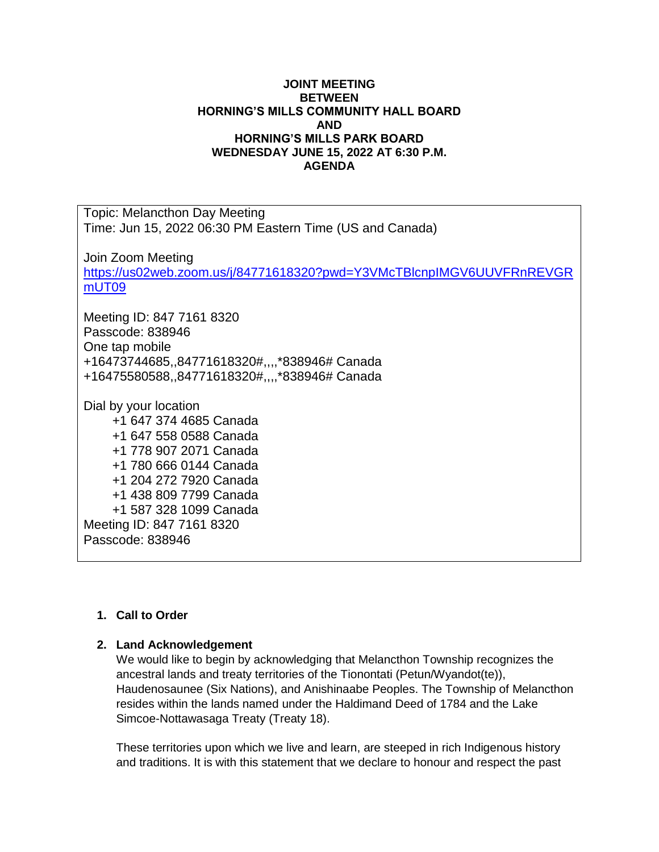## **JOINT MEETING BETWEEN HORNING'S MILLS COMMUNITY HALL BOARD AND HORNING'S MILLS PARK BOARD WEDNESDAY JUNE 15, 2022 AT 6:30 P.M. AGENDA**

Topic: Melancthon Day Meeting Time: Jun 15, 2022 06:30 PM Eastern Time (US and Canada)

Join Zoom Meeting

[https://us02web.zoom.us/j/84771618320?pwd=Y3VMcTBlcnpIMGV6UUVFRnREVGR](https://us02web.zoom.us/j/84771618320?pwd=Y3VMcTBlcnpIMGV6UUVFRnREVGRmUT09) [mUT09](https://us02web.zoom.us/j/84771618320?pwd=Y3VMcTBlcnpIMGV6UUVFRnREVGRmUT09)

Meeting ID: 847 7161 8320 Passcode: 838946 One tap mobile +16473744685,,84771618320#,,,,\*838946# Canada +16475580588,,84771618320#,,,,\*838946# Canada

Dial by your location

+1 647 374 4685 Canada +1 647 558 0588 Canada +1 778 907 2071 Canada +1 780 666 0144 Canada +1 204 272 7920 Canada +1 438 809 7799 Canada +1 587 328 1099 Canada Meeting ID: 847 7161 8320 Passcode: 838946

## **1. Call to Order**

## **2. Land Acknowledgement**

We would like to begin by acknowledging that Melancthon Township recognizes the ancestral lands and treaty territories of the Tionontati (Petun/Wyandot(te)), Haudenosaunee (Six Nations), and Anishinaabe Peoples. The Township of Melancthon resides within the lands named under the Haldimand Deed of 1784 and the Lake Simcoe-Nottawasaga Treaty (Treaty 18).

These territories upon which we live and learn, are steeped in rich Indigenous history and traditions. It is with this statement that we declare to honour and respect the past